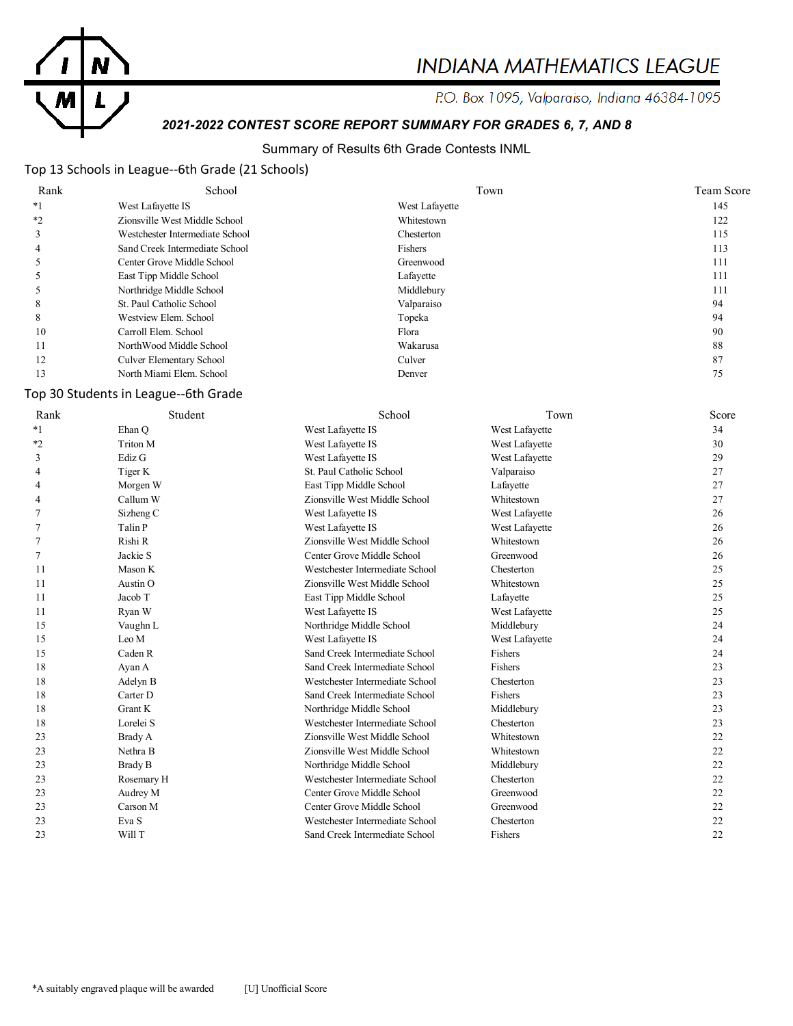

# **INDIANA MATHEMATICS LEAGUE**

P.O. Box 1095, Valparaiso, Indiana 46384-1095

# *2021-2022 CONTEST SCORE REPORT SUMMARY FOR GRADES 6, 7, AND 8*

#### Summary of Results 6th Grade Contests INML

#### Top 13 Schools in League--6th Grade (21 Schools)

| Rank | School                          | Town           | Team Score |
|------|---------------------------------|----------------|------------|
| $*1$ | West Lafayette IS               | West Lafayette | 145        |
| $*2$ | Zionsville West Middle School   | Whitestown     | 122        |
|      | Westchester Intermediate School | Chesterton     | 115        |
| 4    | Sand Creek Intermediate School  | Fishers        | 113        |
|      | Center Grove Middle School      | Greenwood      | 111        |
|      | East Tipp Middle School         | Lafayette      | 111        |
|      | Northridge Middle School        | Middlebury     | 111        |
| 8    | St. Paul Catholic School        | Valparaiso     | 94         |
| 8    | Westview Elem. School           | Topeka         | 94         |
| 10   | Carroll Elem. School            | Flora          | 90         |
| 11   | NorthWood Middle School         | Wakarusa       | 88         |
| 12   | Culver Elementary School        | Culver         | 87         |
| 13   | North Miami Elem. School        | Denver         |            |

#### Top 30 Students in League--6th Grade

| Rank | Student              | School                          | Town           | Score |
|------|----------------------|---------------------------------|----------------|-------|
| $*1$ | Ehan O               | West Lafayette IS               | West Lafayette | 34    |
| *2   | Triton M             | West Lafayette IS               | West Lafayette | 30    |
| 3    | Ediz G               | West Lafayette IS               | West Lafayette | 29    |
| 4    | Tiger K              | St. Paul Catholic School        | Valparaiso     | 27    |
| 4    | Morgen W             | East Tipp Middle School         | Lafayette      | 27    |
| 4    | Callum W             | Zionsville West Middle School   | Whitestown     | 27    |
| 7    | Sizheng <sub>C</sub> | West Lafayette IS               | West Lafayette | 26    |
| 7    | Talin P              | West Lafayette IS               | West Lafayette | 26    |
| 7    | Rishi R              | Zionsville West Middle School   | Whitestown     | 26    |
| 7    | Jackie S             | Center Grove Middle School      | Greenwood      | 26    |
| 11   | Mason K              | Westchester Intermediate School | Chesterton     | 25    |
| 11   | Austin <sub>O</sub>  | Zionsville West Middle School   | Whitestown     | 25    |
| 11   | Jacob T              | East Tipp Middle School         | Lafayette      | 25    |
| 11   | Ryan W               | West Lafayette IS               | West Lafayette | 25    |
| 15   | Vaughn L             | Northridge Middle School        | Middlebury     | 24    |
| 15   | Leo M                | West Lafayette IS               | West Lafayette | 24    |
| 15   | Caden R              | Sand Creek Intermediate School  | Fishers        | 24    |
| 18   | Ayan A               | Sand Creek Intermediate School  | Fishers        | 23    |
| 18   | Adelyn B             | Westchester Intermediate School | Chesterton     | 23    |
| 18   | Carter D             | Sand Creek Intermediate School  | Fishers        | 23    |
| 18   | <b>Grant K</b>       | Northridge Middle School        | Middlebury     | 23    |
| 18   | Lorelei S            | Westchester Intermediate School | Chesterton     | 23    |
| 23   | Brady A              | Zionsville West Middle School   | Whitestown     | 22    |
| 23   | Nethra B             | Zionsville West Middle School   | Whitestown     | 22    |
| 23   | Brady B              | Northridge Middle School        | Middlebury     | 22    |
| 23   | Rosemary H           | Westchester Intermediate School | Chesterton     | 22    |
| 23   | Audrey M             | Center Grove Middle School      | Greenwood      | 22    |
| 23   | Carson M             | Center Grove Middle School      | Greenwood      | 22    |
| 23   | Eva S                | Westchester Intermediate School | Chesterton     | 22    |
| 23   | Will T               | Sand Creek Intermediate School  | Fishers        | 22    |
|      |                      |                                 |                |       |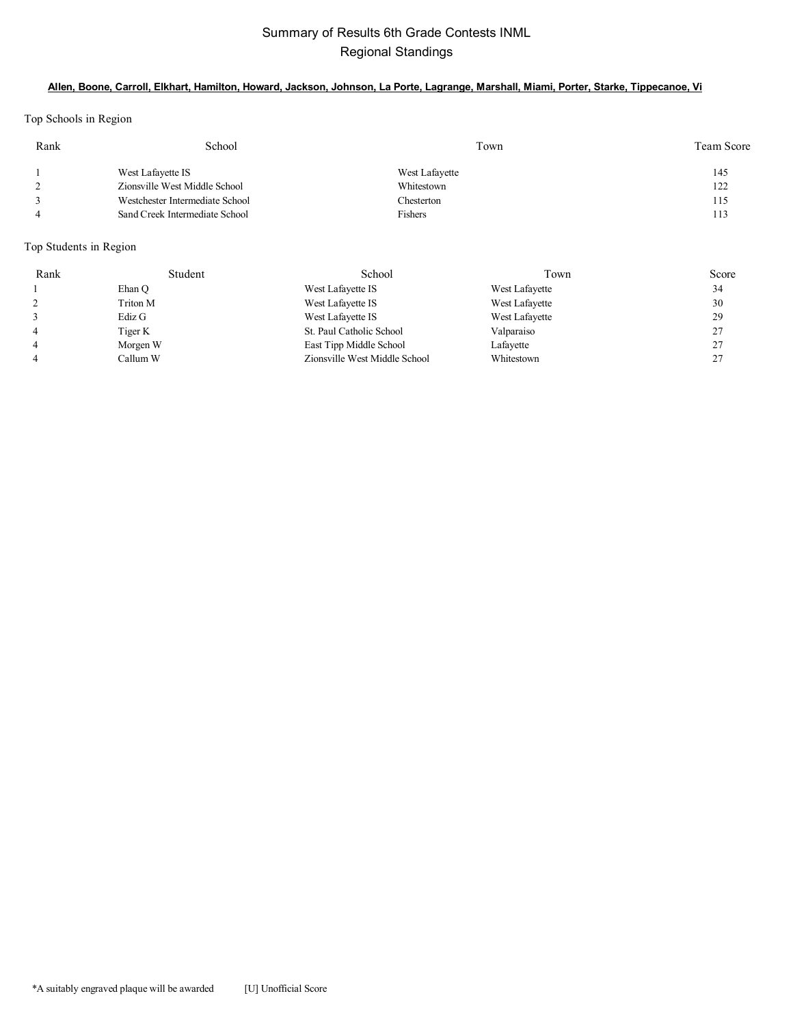## Summary of Results 6th Grade Contests INML Regional Standings

#### **Allen, Boone, Carroll, Elkhart, Hamilton, Howard, Jackson, Johnson, La Porte, Lagrange, Marshall, Miami, Porter, Starke, Tippecanoe, Vi**

Top Schools in Region

| Rank | School                          | Town           | Team Score |
|------|---------------------------------|----------------|------------|
|      | West Lafayette IS               | West Lafayette | 145        |
|      | Zionsville West Middle School   | Whitestown     | 122        |
|      | Westchester Intermediate School | Chesterton     | 115        |
|      | Sand Creek Intermediate School  | Fishers        | 113        |

Top Students in Region

| Rank           | Student  | School                        | Town           | Score   |
|----------------|----------|-------------------------------|----------------|---------|
|                | Ehan O   | West Lafayette IS             | West Lafayette | 34      |
| 2              | Triton M | West Lafayette IS             | West Lafayette | 30      |
|                | Ediz G   | West Lafayette IS             | West Lafayette | 29      |
| $\overline{4}$ | Tiger K  | St. Paul Catholic School      | Valparaiso     | 27      |
| $\overline{4}$ | Morgen W | East Tipp Middle School       | Lafayette      | 27      |
| $\overline{4}$ | Callum W | Zionsville West Middle School | Whitestown     | 27<br>∠ |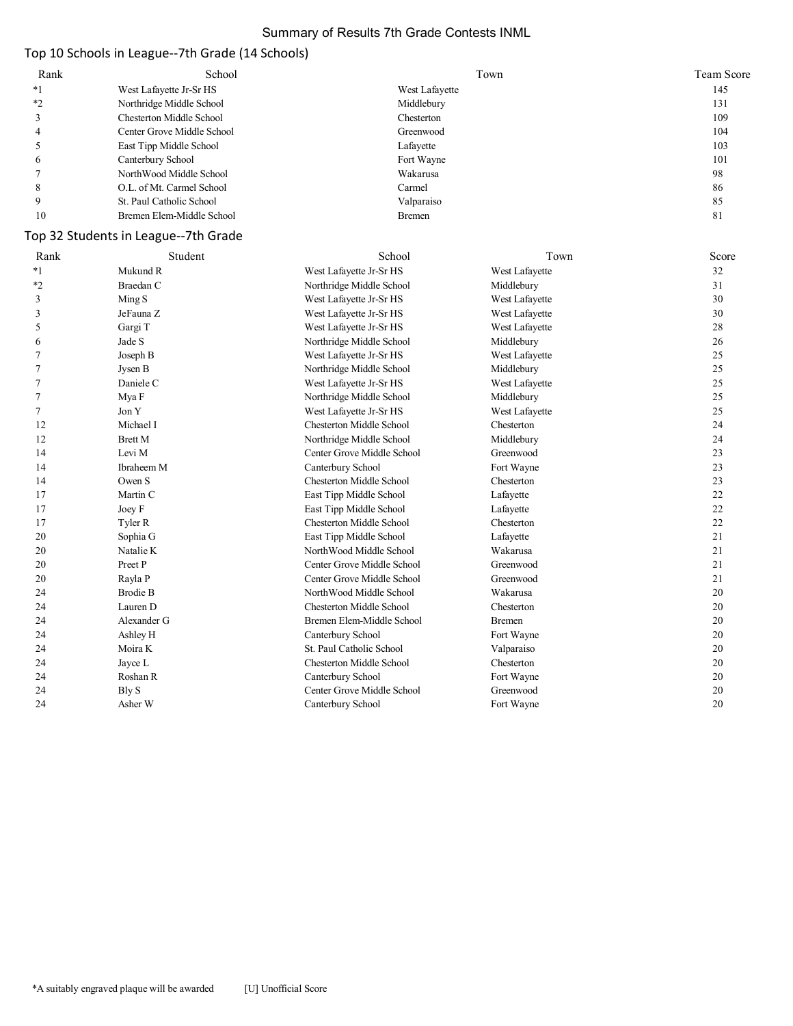#### Summary of Results 7th Grade Contests INML

# Top 10 Schools in League--7th Grade (14 Schools)

| Rank | School                     | Town           | Team Score |
|------|----------------------------|----------------|------------|
| $*1$ | West Lafayette Jr-Sr HS    | West Lafayette | 145        |
| $*$  | Northridge Middle School   | Middlebury     | 131        |
|      | Chesterton Middle School   | Chesterton     | 109        |
|      | Center Grove Middle School | Greenwood      | 104        |
|      | East Tipp Middle School    | Lafayette      | 103        |
| O    | Canterbury School          | Fort Wayne     | 101        |
|      | NorthWood Middle School    | Wakarusa       | 98         |
| 8    | O.L. of Mt. Carmel School  | Carmel         | 86         |
|      | St. Paul Catholic School   | Valparaiso     | 85         |
| 10   | Bremen Elem-Middle School  | <b>Bremen</b>  | 81         |

## Top 32 Students in League--7th Grade

| Rank    | Student         | School                          | Town           | Score |
|---------|-----------------|---------------------------------|----------------|-------|
| $*_{1}$ | Mukund R        | West Lafayette Jr-Sr HS         | West Lafayette | 32    |
| $*2$    | Braedan C       | Northridge Middle School        | Middlebury     | 31    |
| 3       | Ming S          | West Lafayette Jr-Sr HS         | West Lafayette | 30    |
| 3       | JeFauna Z       | West Lafayette Jr-Sr HS         | West Lafayette | 30    |
| 5       | Gargi T         | West Lafayette Jr-Sr HS         | West Lafayette | 28    |
| 6       | Jade S          | Northridge Middle School        | Middlebury     | 26    |
| 7       | Joseph B        | West Lafayette Jr-Sr HS         | West Lafayette | 25    |
| 7       | Jysen B         | Northridge Middle School        | Middlebury     | 25    |
|         | Daniele C       | West Lafayette Jr-Sr HS         | West Lafayette | 25    |
| 7       | Mya F           | Northridge Middle School        | Middlebury     | 25    |
| 7       | Jon Y           | West Lafayette Jr-Sr HS         | West Lafayette | 25    |
| 12      | Michael I       | <b>Chesterton Middle School</b> | Chesterton     | 24    |
| 12      | <b>Brett M</b>  | Northridge Middle School        | Middlebury     | 24    |
| 14      | Levi M          | Center Grove Middle School      | Greenwood      | 23    |
| 14      | Ibraheem M      | Canterbury School               | Fort Wayne     | 23    |
| 14      | Owen S          | <b>Chesterton Middle School</b> | Chesterton     | 23    |
| 17      | Martin C        | East Tipp Middle School         | Lafayette      | 22    |
| 17      | Joey F          | East Tipp Middle School         | Lafayette      | 22    |
| 17      | Tyler R         | <b>Chesterton Middle School</b> | Chesterton     | 22    |
| 20      | Sophia G        | East Tipp Middle School         | Lafayette      | 21    |
| 20      | Natalie K       | NorthWood Middle School         | Wakarusa       | 21    |
| 20      | Preet P         | Center Grove Middle School      | Greenwood      | 21    |
| 20      | Rayla P         | Center Grove Middle School      | Greenwood      | 21    |
| 24      | <b>Brodie B</b> | NorthWood Middle School         | Wakarusa       | 20    |
| 24      | Lauren D        | <b>Chesterton Middle School</b> | Chesterton     | 20    |
| 24      | Alexander G     | Bremen Elem-Middle School       | <b>Bremen</b>  | 20    |
| 24      | Ashley H        | Canterbury School               | Fort Wayne     | 20    |
| 24      | Moira K         | St. Paul Catholic School        | Valparaiso     | 20    |
| 24      | Jayce L         | Chesterton Middle School        | Chesterton     | 20    |
| 24      | Roshan R        | Canterbury School               | Fort Wayne     | 20    |
| 24      | Bly S           | Center Grove Middle School      | Greenwood      | 20    |
| 24      | Asher W         | Canterbury School               | Fort Wayne     | 20    |
|         |                 |                                 |                |       |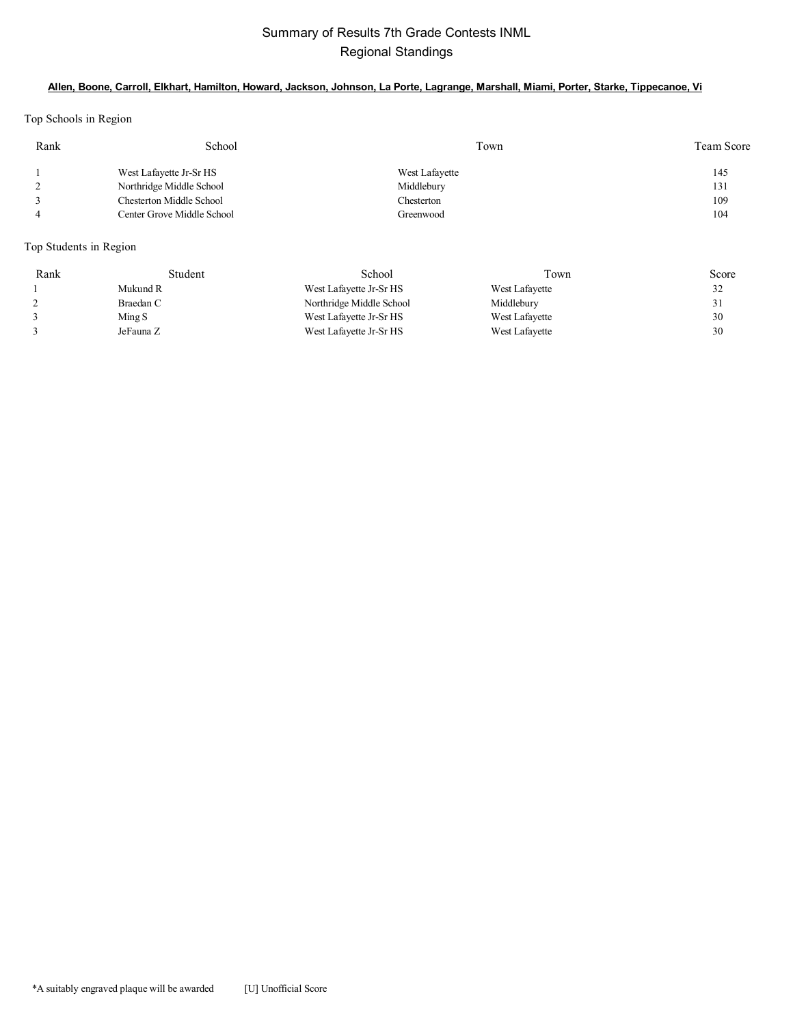## Summary of Results 7th Grade Contests INML Regional Standings

#### **Allen, Boone, Carroll, Elkhart, Hamilton, Howard, Jackson, Johnson, La Porte, Lagrange, Marshall, Miami, Porter, Starke, Tippecanoe, Vi**

Top Schools in Region

| Rank | School                     | Town           | Team Score |
|------|----------------------------|----------------|------------|
|      | West Lafayette Jr-Sr HS    | West Lafayette | 145        |
|      | Northridge Middle School   | Middlebury     | 131        |
|      | Chesterton Middle School   | Chesterton     | 109        |
|      | Center Grove Middle School | Greenwood      | 104        |

Top Students in Region

| Rank | Student   | School                   | Town           | Score |
|------|-----------|--------------------------|----------------|-------|
|      | Mukund R  | West Lafayette Jr-Sr HS  | West Lafayette | 32    |
|      | Braedan C | Northridge Middle School | Middlebury     |       |
|      | Ming S    | West Lafayette Jr-Sr HS  | West Lafayette | 30    |
|      | JeFauna Z | West Lafayette Jr-Sr HS  | West Lafayette | 30    |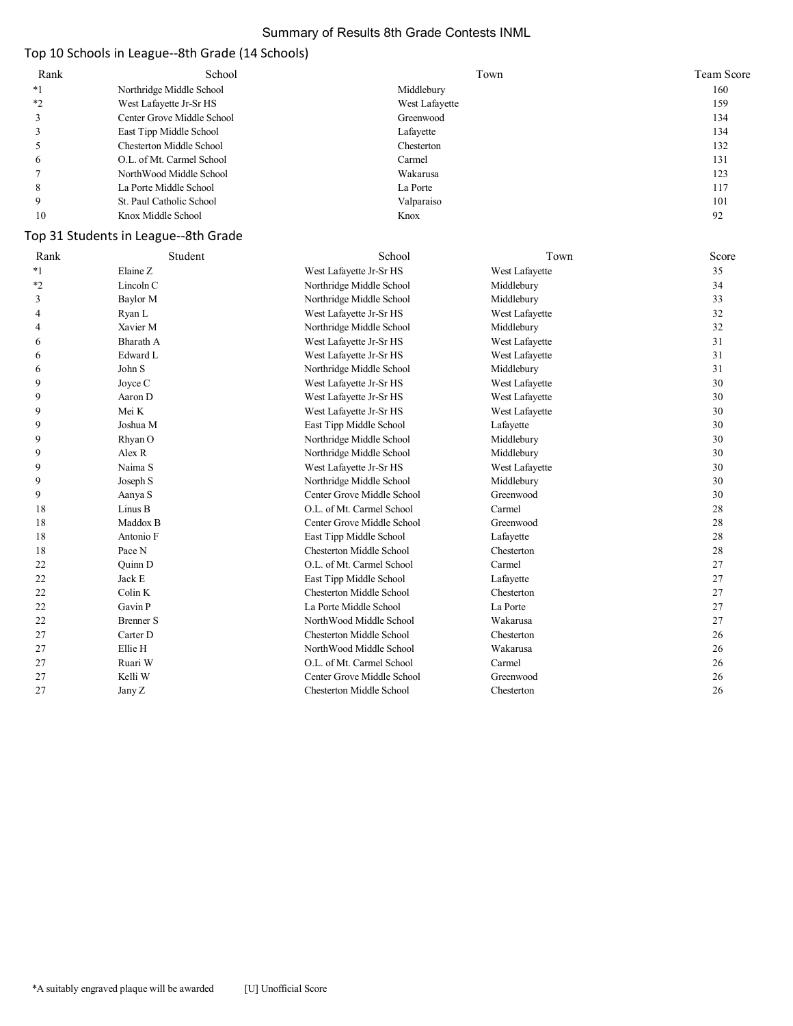#### Summary of Results 8th Grade Contests INML

## Top 10 Schools in League--8th Grade (14 Schools)

| Rank    | School                     | Town           | Team Score |
|---------|----------------------------|----------------|------------|
| $*1$    | Northridge Middle School   | Middlebury     | 160        |
| $*_{2}$ | West Lafayette Jr-Sr HS    | West Lafayette | 159        |
|         | Center Grove Middle School | Greenwood      | 134        |
|         | East Tipp Middle School    | Lafayette      | 134        |
|         | Chesterton Middle School   | Chesterton     | 132        |
| 6       | O.L. of Mt. Carmel School  | Carmel         | 131        |
|         | NorthWood Middle School    | Wakarusa       | 123        |
| 8       | La Porte Middle School     | La Porte       | 117        |
|         | St. Paul Catholic School   | Valparaiso     | 101        |
| 10      | Knox Middle School         | Knox           | 92         |

## Top 31 Students in League--8th Grade

| Rank | Student          | School                          | Town           | Score |
|------|------------------|---------------------------------|----------------|-------|
| $*1$ | Elaine Z         | West Lafayette Jr-Sr HS         | West Lafayette | 35    |
| $*2$ | Lincoln C        | Northridge Middle School        | Middlebury     | 34    |
| 3    | Baylor M         | Northridge Middle School        | Middlebury     | 33    |
| 4    | Ryan L           | West Lafayette Jr-Sr HS         | West Lafayette | 32    |
| 4    | Xavier M         | Northridge Middle School        | Middlebury     | 32    |
| 6    | Bharath A        | West Lafayette Jr-Sr HS         | West Lafayette | 31    |
| 6    | Edward L         | West Lafayette Jr-Sr HS         | West Lafayette | 31    |
| 6    | John S           | Northridge Middle School        | Middlebury     | 31    |
| 9    | Joyce C          | West Lafayette Jr-Sr HS         | West Lafayette | 30    |
| 9    | Aaron D          | West Lafayette Jr-Sr HS         | West Lafayette | 30    |
| 9    | Mei K            | West Lafayette Jr-Sr HS         | West Lafayette | 30    |
| 9    | Joshua M         | East Tipp Middle School         | Lafayette      | 30    |
| 9    | Rhyan O          | Northridge Middle School        | Middlebury     | 30    |
| 9    | Alex R           | Northridge Middle School        | Middlebury     | 30    |
| 9    | Naima S          | West Lafayette Jr-Sr HS         | West Lafayette | 30    |
| 9    | Joseph S         | Northridge Middle School        | Middlebury     | 30    |
| 9    | Aanya S          | Center Grove Middle School      | Greenwood      | 30    |
| 18   | Linus B          | O.L. of Mt. Carmel School       | Carmel         | 28    |
| 18   | Maddox B         | Center Grove Middle School      | Greenwood      | 28    |
| 18   | Antonio F        | East Tipp Middle School         | Lafayette      | 28    |
| 18   | Pace N           | <b>Chesterton Middle School</b> | Chesterton     | 28    |
| 22   | Quinn D          | O.L. of Mt. Carmel School       | Carmel         | 27    |
| 22   | Jack E           | East Tipp Middle School         | Lafayette      | 27    |
| 22   | Colin K          | <b>Chesterton Middle School</b> | Chesterton     | 27    |
| 22   | Gavin P          | La Porte Middle School          | La Porte       | 27    |
| 22   | <b>Brenner S</b> | NorthWood Middle School         | Wakarusa       | 27    |
| 27   | Carter D         | <b>Chesterton Middle School</b> | Chesterton     | 26    |
| 27   | Ellie H          | NorthWood Middle School         | Wakarusa       | 26    |
| 27   | Ruari W          | O.L. of Mt. Carmel School       | Carmel         | 26    |
| 27   | Kelli W          | Center Grove Middle School      | Greenwood      | 26    |
| 27   | Jany Z           | <b>Chesterton Middle School</b> | Chesterton     | 26    |
|      |                  |                                 |                |       |